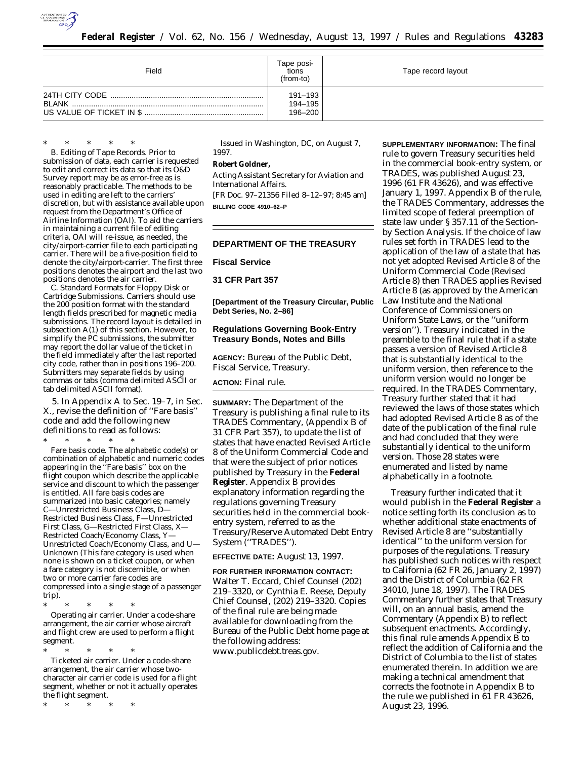

| Field  | Tape posi-<br>tions<br>(from-to) | Tape record layout |
|--------|----------------------------------|--------------------|
| BI ANK | 191-193<br>194-195<br>196-200    |                    |

\* \* \* \* \* B. *Editing of Tape Records.* Prior to submission of data, each carrier is requested to edit and correct its data so that its O&D Survey report may be as error-free as is reasonably practicable. The methods to be used in editing are left to the carriers' discretion, but with assistance available upon request from the Department's Office of Airline Information (OAI). To aid the carriers in maintaining a current file of editing criteria, OAI will re-issue, as needed, the city/airport-carrier file to each participating carrier. There will be a five-position field to denote the city/airport-carrier. The first three positions denotes the airport and the last two positions denotes the air carrier.

C. Standard Formats for Floppy Disk or Cartridge Submissions. Carriers should use the 200 position format with the standard length fields prescribed for magnetic media submissions. The record layout is detailed in subsection A(1) of this section. However, to simplify the PC submissions, the submitter may report the dollar value of the ticket in the field immediately after the last reported city code, rather than in positions 196–200. Submitters may separate fields by using commas or tabs (comma delimited ASCII or tab delimited ASCII format).

5. In Appendix A to Sec. 19–7, in Sec. X., revise the definition of ''Fare basis'' code and add the following new definitions to read as follows:

\* \* \* \* \* Fare basis code. The alphabetic code(s) or combination of alphabetic and numeric codes appearing in the ''Fare basis'' box on the flight coupon which describe the applicable service and discount to which the passenger is entitled. All fare basis codes are summarized into basic categories; namely C—Unrestricted Business Class, D— Restricted Business Class, F—Unrestricted First Class, G—Restricted First Class, X— Restricted Coach/Economy Class, Y— Unrestricted Coach/Economy Class, and U— Unknown (This fare category is used when none is shown on a ticket coupon, or when a fare category is not discernible, or when two or more carrier fare codes are compressed into a single stage of a passenger trip).

\* \* \* \* \* Operating air carrier. Under a code-share arrangement, the air carrier whose aircraft and flight crew are used to perform a flight segment.

\* \* \* \* \* Ticketed air carrier. Under a code-share arrangement, the air carrier whose twocharacter air carrier code is used for a flight segment, whether or not it actually operates the flight segment.

\* \* \* \* \*

Issued in Washington, DC, on August 7, 1997.

#### **Robert Goldner,**

*Acting Assistant Secretary for Aviation and International Affairs.* [FR Doc. 97–21356 Filed 8–12–97; 8:45 am] **BILLING CODE 4910–62–P**

# **DEPARTMENT OF THE TREASURY**

### **Fiscal Service**

## **31 CFR Part 357**

**[Department of the Treasury Circular, Public Debt Series, No. 2–86]**

## **Regulations Governing Book-Entry Treasury Bonds, Notes and Bills**

**AGENCY:** Bureau of the Public Debt, Fiscal Service, Treasury.

## **ACTION:** Final rule.

**SUMMARY:** The Department of the Treasury is publishing a final rule to its TRADES Commentary, (Appendix B of 31 CFR Part 357), to update the list of states that have enacted Revised Article 8 of the Uniform Commercial Code and that were the subject of prior notices published by Treasury in the **Federal Register**. Appendix B provides explanatory information regarding the regulations governing Treasury securities held in the commercial bookentry system, referred to as the Treasury/Reserve Automated Debt Entry System (''TRADES'').

## **EFFECTIVE DATE:** August 13, 1997.

**FOR FURTHER INFORMATION CONTACT:** Walter T. Eccard, Chief Counsel (202) 219–3320, or Cynthia E. Reese, Deputy Chief Counsel, (202) 219–3320. Copies of the final rule are being made available for downloading from the Bureau of the Public Debt home page at the following address: www.publicdebt.treas.gov.

**SUPPLEMENTARY INFORMATION:** The final rule to govern Treasury securities held in the commercial book-entry system, or TRADES, was published August 23, 1996 (61 FR 43626), and was effective January 1, 1997. Appendix B of the rule, the TRADES Commentary, addresses the limited scope of federal preemption of state law under § 357.11 of the Sectionby Section Analysis. If the choice of law rules set forth in TRADES lead to the application of the law of a state that has not yet adopted Revised Article 8 of the Uniform Commercial Code (Revised Article 8) then TRADES applies Revised Article 8 (as approved by the American Law Institute and the National Conference of Commissioners on Uniform State Laws, or the ''uniform version''). Treasury indicated in the preamble to the final rule that if a state passes a version of Revised Article 8 that is substantially identical to the uniform version, then reference to the uniform version would no longer be required. In the TRADES Commentary, Treasury further stated that it had reviewed the laws of those states which had adopted Revised Article 8 as of the date of the publication of the final rule and had concluded that they were substantially identical to the uniform version. Those 28 states were enumerated and listed by name alphabetically in a footnote.

Treasury further indicated that it would publish in the **Federal Register** a notice setting forth its conclusion as to whether additional state enactments of Revised Article 8 are ''substantially identical'' to the uniform version for purposes of the regulations. Treasury has published such notices with respect to California (62 FR 26, January 2, 1997) and the District of Columbia (62 FR 34010, June 18, 1997). The TRADES Commentary further states that Treasury will, on an annual basis, amend the Commentary (Appendix B) to reflect subsequent enactments. Accordingly, this final rule amends Appendix B to reflect the addition of California and the District of Columbia to the list of states enumerated therein. In addition we are making a technical amendment that corrects the footnote in Appendix B to the rule we published in 61 FR 43626, August 23, 1996.